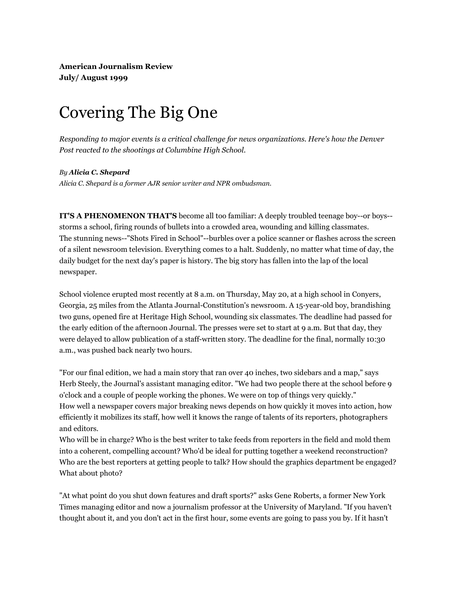**American Journalism Review July/ August 1999**

## Covering The Big One

*Responding to major events is a critical challenge for news organizations. Here's how the Denver Post reacted to the shootings at Columbine High School.*

## *By Alicia C. Shepard*

*Alicia C. Shepard is a former AJR senior writer and NPR ombudsman.* 

**IT'S A PHENOMENON THAT'S** become all too familiar: A deeply troubled teenage boy--or boys- storms a school, firing rounds of bullets into a crowded area, wounding and killing classmates. The stunning news--"Shots Fired in School"--burbles over a police scanner or flashes across the screen of a silent newsroom television. Everything comes to a halt. Suddenly, no matter what time of day, the daily budget for the next day's paper is history. The big story has fallen into the lap of the local newspaper.

School violence erupted most recently at 8 a.m. on Thursday, May 20, at a high school in Conyers, Georgia, 25 miles from the Atlanta Journal-Constitution's newsroom. A 15-year-old boy, brandishing two guns, opened fire at Heritage High School, wounding six classmates. The deadline had passed for the early edition of the afternoon Journal. The presses were set to start at 9 a.m. But that day, they were delayed to allow publication of a staff-written story. The deadline for the final, normally 10:30 a.m., was pushed back nearly two hours.

"For our final edition, we had a main story that ran over 40 inches, two sidebars and a map," says Herb Steely, the Journal's assistant managing editor. "We had two people there at the school before 9 o'clock and a couple of people working the phones. We were on top of things very quickly." How well a newspaper covers major breaking news depends on how quickly it moves into action, how efficiently it mobilizes its staff, how well it knows the range of talents of its reporters, photographers and editors.

Who will be in charge? Who is the best writer to take feeds from reporters in the field and mold them into a coherent, compelling account? Who'd be ideal for putting together a weekend reconstruction? Who are the best reporters at getting people to talk? How should the graphics department be engaged? What about photo?

"At what point do you shut down features and draft sports?" asks Gene Roberts, a former New York Times managing editor and now a journalism professor at the University of Maryland. "If you haven't thought about it, and you don't act in the first hour, some events are going to pass you by. If it hasn't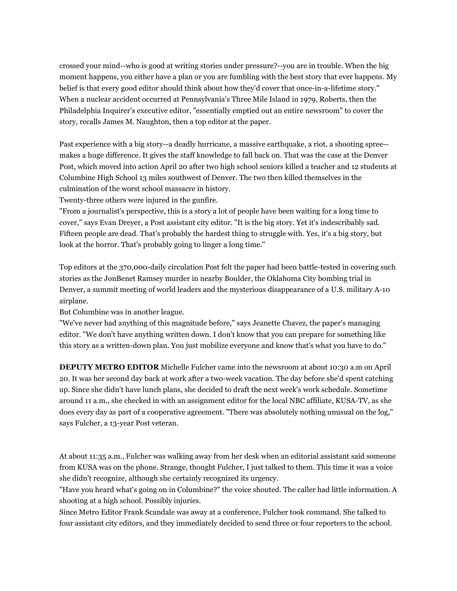crossed your mind--who is good at writing stories under pressure?--you are in trouble. When the big moment happens, you either have a plan or you are fumbling with the best story that ever happens. My belief is that every good editor should think about how they'd cover that once-in-a-lifetime story." When a nuclear accident occurred at Pennsylvania's Three Mile Island in 1979, Roberts, then the Philadelphia Inquirer's executive editor, "essentially emptied out an entire newsroom" to cover the story, recalls James M. Naughton, then a top editor at the paper.

Past experience with a big story--a deadly hurricane, a massive earthquake, a riot, a shooting spree- makes a huge difference. It gives the staff knowledge to fall back on. That was the case at the Denver Post, which moved into action April 20 after two high school seniors killed a teacher and 12 students at Columbine High School 13 miles southwest of Denver. The two then killed themselves in the culmination of the worst school massacre in history.

Twenty-three others were injured in the gunfire.

"From a journalist's perspective, this is a story a lot of people have been waiting for a long time to cover," says Evan Dreyer, a Post assistant city editor. "It is the big story. Yet it's indescribably sad. Fifteen people are dead. That's probably the hardest thing to struggle with. Yes, it's a big story, but look at the horror. That's probably going to linger a long time."

Top editors at the 370,000-daily circulation Post felt the paper had been battle-tested in covering such stories as the JonBenet Ramsey murder in nearby Boulder, the Oklahoma City bombing trial in Denver, a summit meeting of world leaders and the mysterious disappearance of a U.S. military A-10 airplane.

But Columbine was in another league.

"We've never had anything of this magnitude before," says Jeanette Chavez, the paper's managing editor. "We don't have anything written down. I don't know that you can prepare for something like this story as a written-down plan. You just mobilize everyone and know that's what you have to do."

**DEPUTY METRO EDITOR** Michelle Fulcher came into the newsroom at about 10:30 a.m on April 20. It was her second day back at work after a two-week vacation. The day before she'd spent catching up. Since she didn't have lunch plans, she decided to draft the next week's work schedule. Sometime around 11 a.m., she checked in with an assignment editor for the local NBC affiliate, KUSA-TV, as she does every day as part of a cooperative agreement. "There was absolutely nothing unusual on the log," says Fulcher, a 13-year Post veteran.

At about 11:35 a.m., Fulcher was walking away from her desk when an editorial assistant said someone from KUSA was on the phone. Strange, thought Fulcher, I just talked to them. This time it was a voice she didn't recognize, although she certainly recognized its urgency.

"Have you heard what's going on in Columbine?" the voice shouted. The caller had little information. A shooting at a high school. Possibly injuries.

Since Metro Editor Frank Scandale was away at a conference, Fulcher took command. She talked to four assistant city editors, and they immediately decided to send three or four reporters to the school.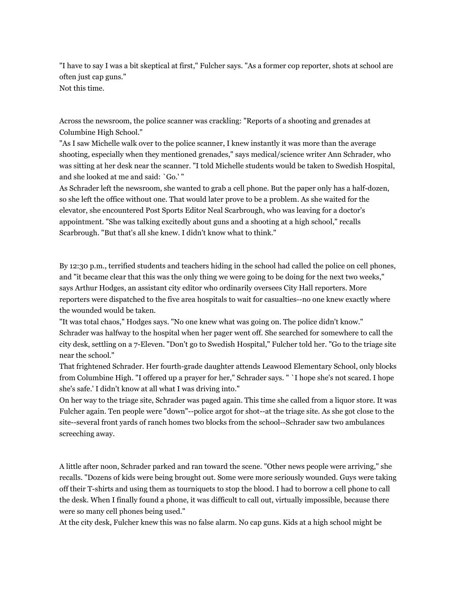"I have to say I was a bit skeptical at first," Fulcher says. "As a former cop reporter, shots at school are often just cap guns." Not this time.

Across the newsroom, the police scanner was crackling: "Reports of a shooting and grenades at Columbine High School."

"As I saw Michelle walk over to the police scanner, I knew instantly it was more than the average shooting, especially when they mentioned grenades," says medical/science writer Ann Schrader, who was sitting at her desk near the scanner. "I told Michelle students would be taken to Swedish Hospital, and she looked at me and said: `Go.' "

As Schrader left the newsroom, she wanted to grab a cell phone. But the paper only has a half-dozen, so she left the office without one. That would later prove to be a problem. As she waited for the elevator, she encountered Post Sports Editor Neal Scarbrough, who was leaving for a doctor's appointment. "She was talking excitedly about guns and a shooting at a high school," recalls Scarbrough. "But that's all she knew. I didn't know what to think."

By 12:30 p.m., terrified students and teachers hiding in the school had called the police on cell phones, and "it became clear that this was the only thing we were going to be doing for the next two weeks," says Arthur Hodges, an assistant city editor who ordinarily oversees City Hall reporters. More reporters were dispatched to the five area hospitals to wait for casualties--no one knew exactly where the wounded would be taken.

"It was total chaos," Hodges says. "No one knew what was going on. The police didn't know." Schrader was halfway to the hospital when her pager went off. She searched for somewhere to call the city desk, settling on a 7-Eleven. "Don't go to Swedish Hospital," Fulcher told her. "Go to the triage site near the school."

That frightened Schrader. Her fourth-grade daughter attends Leawood Elementary School, only blocks from Columbine High. "I offered up a prayer for her," Schrader says. " `I hope she's not scared. I hope she's safe.' I didn't know at all what I was driving into."

On her way to the triage site, Schrader was paged again. This time she called from a liquor store. It was Fulcher again. Ten people were "down"--police argot for shot--at the triage site. As she got close to the site--several front yards of ranch homes two blocks from the school--Schrader saw two ambulances screeching away.

A little after noon, Schrader parked and ran toward the scene. "Other news people were arriving," she recalls. "Dozens of kids were being brought out. Some were more seriously wounded. Guys were taking off their T-shirts and using them as tourniquets to stop the blood. I had to borrow a cell phone to call the desk. When I finally found a phone, it was difficult to call out, virtually impossible, because there were so many cell phones being used."

At the city desk, Fulcher knew this was no false alarm. No cap guns. Kids at a high school might be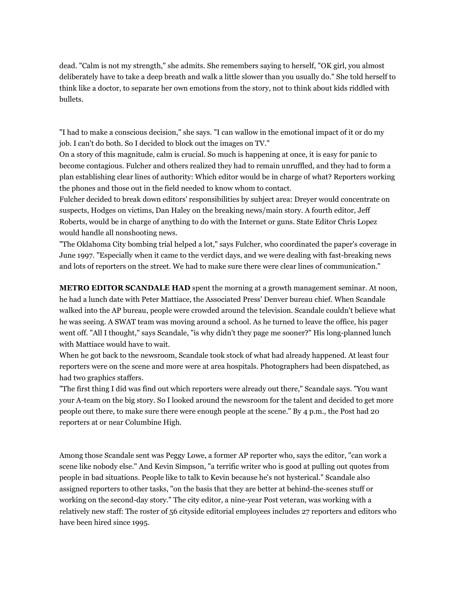dead. "Calm is not my strength," she admits. She remembers saying to herself, "OK girl, you almost deliberately have to take a deep breath and walk a little slower than you usually do." She told herself to think like a doctor, to separate her own emotions from the story, not to think about kids riddled with bullets.

"I had to make a conscious decision," she says. "I can wallow in the emotional impact of it or do my job. I can't do both. So I decided to block out the images on TV."

On a story of this magnitude, calm is crucial. So much is happening at once, it is easy for panic to become contagious. Fulcher and others realized they had to remain unruffled, and they had to form a plan establishing clear lines of authority: Which editor would be in charge of what? Reporters working the phones and those out in the field needed to know whom to contact.

Fulcher decided to break down editors' responsibilities by subject area: Dreyer would concentrate on suspects, Hodges on victims, Dan Haley on the breaking news/main story. A fourth editor, Jeff Roberts, would be in charge of anything to do with the Internet or guns. State Editor Chris Lopez would handle all nonshooting news.

"The Oklahoma City bombing trial helped a lot," says Fulcher, who coordinated the paper's coverage in June 1997. "Especially when it came to the verdict days, and we were dealing with fast-breaking news and lots of reporters on the street. We had to make sure there were clear lines of communication."

**METRO EDITOR SCANDALE HAD** spent the morning at a growth management seminar. At noon, he had a lunch date with Peter Mattiace, the Associated Press' Denver bureau chief. When Scandale walked into the AP bureau, people were crowded around the television. Scandale couldn't believe what he was seeing. A SWAT team was moving around a school. As he turned to leave the office, his pager went off. "All I thought," says Scandale, "is why didn't they page me sooner?" His long-planned lunch with Mattiace would have to wait.

When he got back to the newsroom, Scandale took stock of what had already happened. At least four reporters were on the scene and more were at area hospitals. Photographers had been dispatched, as had two graphics staffers.

"The first thing I did was find out which reporters were already out there," Scandale says. "You want your A-team on the big story. So I looked around the newsroom for the talent and decided to get more people out there, to make sure there were enough people at the scene." By 4 p.m., the Post had 20 reporters at or near Columbine High.

Among those Scandale sent was Peggy Lowe, a former AP reporter who, says the editor, "can work a scene like nobody else." And Kevin Simpson, "a terrific writer who is good at pulling out quotes from people in bad situations. People like to talk to Kevin because he's not hysterical." Scandale also assigned reporters to other tasks, "on the basis that they are better at behind-the-scenes stuff or working on the second-day story." The city editor, a nine-year Post veteran, was working with a relatively new staff: The roster of 56 cityside editorial employees includes 27 reporters and editors who have been hired since 1995.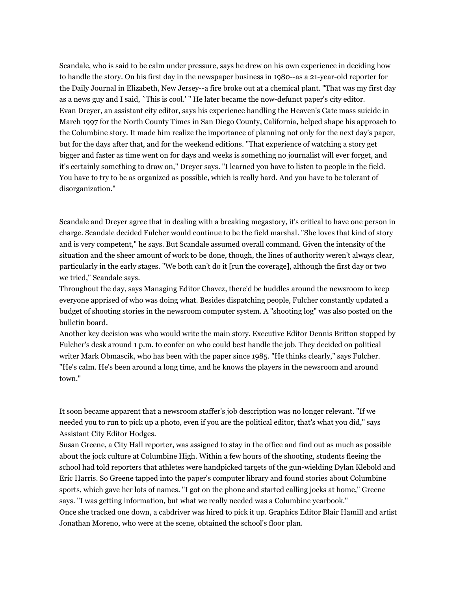Scandale, who is said to be calm under pressure, says he drew on his own experience in deciding how to handle the story. On his first day in the newspaper business in 1980--as a 21-year-old reporter for the Daily Journal in Elizabeth, New Jersey--a fire broke out at a chemical plant. "That was my first day as a news guy and I said, `This is cool.' " He later became the now-defunct paper's city editor. Evan Dreyer, an assistant city editor, says his experience handling the Heaven's Gate mass suicide in March 1997 for the North County Times in San Diego County, California, helped shape his approach to the Columbine story. It made him realize the importance of planning not only for the next day's paper, but for the days after that, and for the weekend editions. "That experience of watching a story get bigger and faster as time went on for days and weeks is something no journalist will ever forget, and it's certainly something to draw on," Dreyer says. "I learned you have to listen to people in the field. You have to try to be as organized as possible, which is really hard. And you have to be tolerant of disorganization."

Scandale and Dreyer agree that in dealing with a breaking megastory, it's critical to have one person in charge. Scandale decided Fulcher would continue to be the field marshal. "She loves that kind of story and is very competent," he says. But Scandale assumed overall command. Given the intensity of the situation and the sheer amount of work to be done, though, the lines of authority weren't always clear, particularly in the early stages. "We both can't do it [run the coverage], although the first day or two we tried," Scandale says.

Throughout the day, says Managing Editor Chavez, there'd be huddles around the newsroom to keep everyone apprised of who was doing what. Besides dispatching people, Fulcher constantly updated a budget of shooting stories in the newsroom computer system. A "shooting log" was also posted on the bulletin board.

Another key decision was who would write the main story. Executive Editor Dennis Britton stopped by Fulcher's desk around 1 p.m. to confer on who could best handle the job. They decided on political writer Mark Obmascik, who has been with the paper since 1985. "He thinks clearly," says Fulcher. "He's calm. He's been around a long time, and he knows the players in the newsroom and around town."

It soon became apparent that a newsroom staffer's job description was no longer relevant. "If we needed you to run to pick up a photo, even if you are the political editor, that's what you did," says Assistant City Editor Hodges.

Susan Greene, a City Hall reporter, was assigned to stay in the office and find out as much as possible about the jock culture at Columbine High. Within a few hours of the shooting, students fleeing the school had told reporters that athletes were handpicked targets of the gun-wielding Dylan Klebold and Eric Harris. So Greene tapped into the paper's computer library and found stories about Columbine sports, which gave her lots of names. "I got on the phone and started calling jocks at home," Greene says. "I was getting information, but what we really needed was a Columbine yearbook." Once she tracked one down, a cabdriver was hired to pick it up. Graphics Editor Blair Hamill and artist Jonathan Moreno, who were at the scene, obtained the school's floor plan.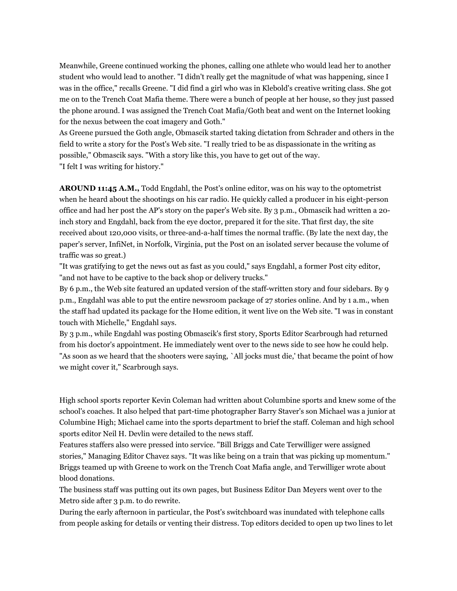Meanwhile, Greene continued working the phones, calling one athlete who would lead her to another student who would lead to another. "I didn't really get the magnitude of what was happening, since I was in the office," recalls Greene. "I did find a girl who was in Klebold's creative writing class. She got me on to the Trench Coat Mafia theme. There were a bunch of people at her house, so they just passed the phone around. I was assigned the Trench Coat Mafia/Goth beat and went on the Internet looking for the nexus between the coat imagery and Goth."

As Greene pursued the Goth angle, Obmascik started taking dictation from Schrader and others in the field to write a story for the Post's Web site. "I really tried to be as dispassionate in the writing as possible," Obmascik says. "With a story like this, you have to get out of the way. "I felt I was writing for history."

**AROUND 11:45 A.M.,** Todd Engdahl, the Post's online editor, was on his way to the optometrist when he heard about the shootings on his car radio. He quickly called a producer in his eight-person office and had her post the AP's story on the paper's Web site. By 3 p.m., Obmascik had written a 20 inch story and Engdahl, back from the eye doctor, prepared it for the site. That first day, the site received about 120,000 visits, or three-and-a-half times the normal traffic. (By late the next day, the paper's server, InfiNet, in Norfolk, Virginia, put the Post on an isolated server because the volume of traffic was so great.)

"It was gratifying to get the news out as fast as you could," says Engdahl, a former Post city editor, "and not have to be captive to the back shop or delivery trucks."

By 6 p.m., the Web site featured an updated version of the staff-written story and four sidebars. By 9 p.m., Engdahl was able to put the entire newsroom package of 27 stories online. And by 1 a.m., when the staff had updated its package for the Home edition, it went live on the Web site. "I was in constant touch with Michelle," Engdahl says.

By 3 p.m., while Engdahl was posting Obmascik's first story, Sports Editor Scarbrough had returned from his doctor's appointment. He immediately went over to the news side to see how he could help. "As soon as we heard that the shooters were saying, `All jocks must die,' that became the point of how we might cover it," Scarbrough says.

High school sports reporter Kevin Coleman had written about Columbine sports and knew some of the school's coaches. It also helped that part-time photographer Barry Staver's son Michael was a junior at Columbine High; Michael came into the sports department to brief the staff. Coleman and high school sports editor Neil H. Devlin were detailed to the news staff.

Features staffers also were pressed into service. "Bill Briggs and Cate Terwilliger were assigned stories," Managing Editor Chavez says. "It was like being on a train that was picking up momentum." Briggs teamed up with Greene to work on the Trench Coat Mafia angle, and Terwilliger wrote about blood donations.

The business staff was putting out its own pages, but Business Editor Dan Meyers went over to the Metro side after 3 p.m. to do rewrite.

During the early afternoon in particular, the Post's switchboard was inundated with telephone calls from people asking for details or venting their distress. Top editors decided to open up two lines to let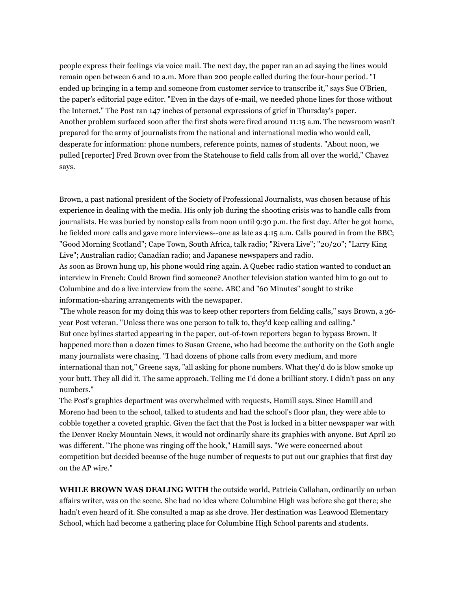people express their feelings via voice mail. The next day, the paper ran an ad saying the lines would remain open between 6 and 10 a.m. More than 200 people called during the four-hour period. "I ended up bringing in a temp and someone from customer service to transcribe it," says Sue O'Brien, the paper's editorial page editor. "Even in the days of e-mail, we needed phone lines for those without the Internet." The Post ran 147 inches of personal expressions of grief in Thursday's paper. Another problem surfaced soon after the first shots were fired around 11:15 a.m. The newsroom wasn't prepared for the army of journalists from the national and international media who would call, desperate for information: phone numbers, reference points, names of students. "About noon, we pulled [reporter] Fred Brown over from the Statehouse to field calls from all over the world," Chavez says.

Brown, a past national president of the Society of Professional Journalists, was chosen because of his experience in dealing with the media. His only job during the shooting crisis was to handle calls from journalists. He was buried by nonstop calls from noon until 9:30 p.m. the first day. After he got home, he fielded more calls and gave more interviews--one as late as 4:15 a.m. Calls poured in from the BBC; "Good Morning Scotland"; Cape Town, South Africa, talk radio; "Rivera Live"; "20/20"; "Larry King Live"; Australian radio; Canadian radio; and Japanese newspapers and radio.

As soon as Brown hung up, his phone would ring again. A Quebec radio station wanted to conduct an interview in French: Could Brown find someone? Another television station wanted him to go out to Columbine and do a live interview from the scene. ABC and "60 Minutes" sought to strike information-sharing arrangements with the newspaper.

"The whole reason for my doing this was to keep other reporters from fielding calls," says Brown, a 36 year Post veteran. "Unless there was one person to talk to, they'd keep calling and calling." But once bylines started appearing in the paper, out-of-town reporters began to bypass Brown. It happened more than a dozen times to Susan Greene, who had become the authority on the Goth angle many journalists were chasing. "I had dozens of phone calls from every medium, and more international than not," Greene says, "all asking for phone numbers. What they'd do is blow smoke up your butt. They all did it. The same approach. Telling me I'd done a brilliant story. I didn't pass on any numbers."

The Post's graphics department was overwhelmed with requests, Hamill says. Since Hamill and Moreno had been to the school, talked to students and had the school's floor plan, they were able to cobble together a coveted graphic. Given the fact that the Post is locked in a bitter newspaper war with the Denver Rocky Mountain News, it would not ordinarily share its graphics with anyone. But April 20 was different. "The phone was ringing off the hook," Hamill says. "We were concerned about competition but decided because of the huge number of requests to put out our graphics that first day on the AP wire."

**WHILE BROWN WAS DEALING WITH** the outside world, Patricia Callahan, ordinarily an urban affairs writer, was on the scene. She had no idea where Columbine High was before she got there; she hadn't even heard of it. She consulted a map as she drove. Her destination was Leawood Elementary School, which had become a gathering place for Columbine High School parents and students.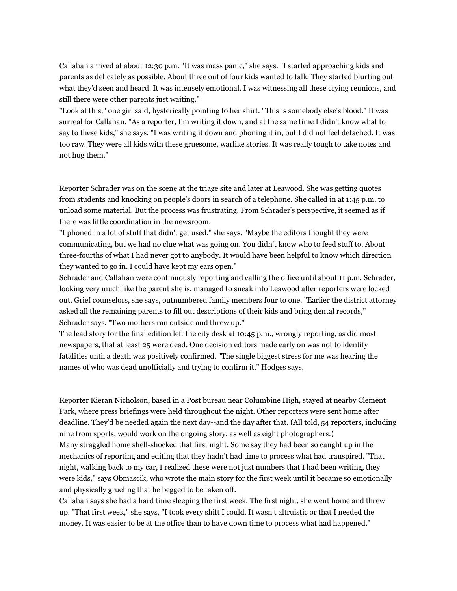Callahan arrived at about 12:30 p.m. "It was mass panic," she says. "I started approaching kids and parents as delicately as possible. About three out of four kids wanted to talk. They started blurting out what they'd seen and heard. It was intensely emotional. I was witnessing all these crying reunions, and still there were other parents just waiting."

"Look at this," one girl said, hysterically pointing to her shirt. "This is somebody else's blood." It was surreal for Callahan. "As a reporter, I'm writing it down, and at the same time I didn't know what to say to these kids," she says. "I was writing it down and phoning it in, but I did not feel detached. It was too raw. They were all kids with these gruesome, warlike stories. It was really tough to take notes and not hug them."

Reporter Schrader was on the scene at the triage site and later at Leawood. She was getting quotes from students and knocking on people's doors in search of a telephone. She called in at 1:45 p.m. to unload some material. But the process was frustrating. From Schrader's perspective, it seemed as if there was little coordination in the newsroom.

"I phoned in a lot of stuff that didn't get used," she says. "Maybe the editors thought they were communicating, but we had no clue what was going on. You didn't know who to feed stuff to. About three-fourths of what I had never got to anybody. It would have been helpful to know which direction they wanted to go in. I could have kept my ears open."

Schrader and Callahan were continuously reporting and calling the office until about 11 p.m. Schrader, looking very much like the parent she is, managed to sneak into Leawood after reporters were locked out. Grief counselors, she says, outnumbered family members four to one. "Earlier the district attorney asked all the remaining parents to fill out descriptions of their kids and bring dental records," Schrader says. "Two mothers ran outside and threw up."

The lead story for the final edition left the city desk at 10:45 p.m., wrongly reporting, as did most newspapers, that at least 25 were dead. One decision editors made early on was not to identify fatalities until a death was positively confirmed. "The single biggest stress for me was hearing the names of who was dead unofficially and trying to confirm it," Hodges says.

Reporter Kieran Nicholson, based in a Post bureau near Columbine High, stayed at nearby Clement Park, where press briefings were held throughout the night. Other reporters were sent home after deadline. They'd be needed again the next day--and the day after that. (All told, 54 reporters, including nine from sports, would work on the ongoing story, as well as eight photographers.) Many straggled home shell-shocked that first night. Some say they had been so caught up in the mechanics of reporting and editing that they hadn't had time to process what had transpired. "That night, walking back to my car, I realized these were not just numbers that I had been writing, they were kids," says Obmascik, who wrote the main story for the first week until it became so emotionally and physically grueling that he begged to be taken off.

Callahan says she had a hard time sleeping the first week. The first night, she went home and threw up. "That first week," she says, "I took every shift I could. It wasn't altruistic or that I needed the money. It was easier to be at the office than to have down time to process what had happened."